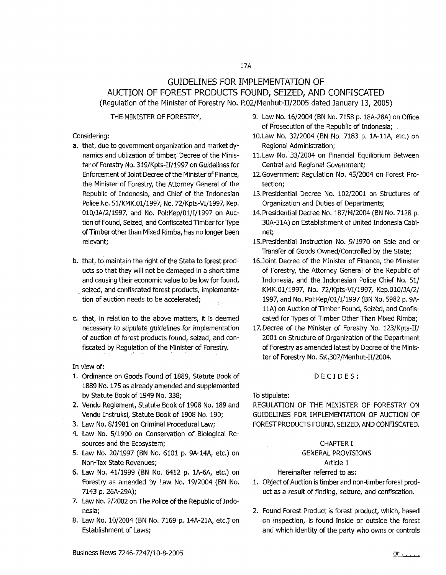# GUIDELINES FOR IMPLEMENTATION OF AUCTION OF FOREST PRODUCTS FOUND, SEIZED, AND CONFISCATED (Regulation of the Minister of Forestry No. P.02/Menhut-II/2005 dated January 13, 2005)

### THE MINISTER OF FORESTRY,

## Considering:

- a. that, due to government organization and market dynamics and utilization of timber, Decree of the Minister of Forestry No. 319/Kpts-II/1997 on Guidelines for Enforcement of Joint Decree of the Minister of Finance, the Minister of Forestry, the Attorney General of the Republic of Indonesia, and Chief of the Indonesian Police No. 51/KMK.01/1997, No. 72/Kpts-VI/1997, Kep. 010/JA/2/1997; and No. Pol:Kep/0l/I/1997 on Auction of Found, Seized, and Confiscated Timber for Type ofTimber other than Mixed Rimba, has no longer been relevant;
- b. that, to maintain the right of the State to forest products so that they will not be damaged in a short time and causing their economic value to be low for found, seized, and confiscated forest products, implementation of auction needs to be accelerated;
- c. that, in relation to the above matters, it is deemed necessary to stipulate guidelines for implementation of auction of forest products found, seized, and confiscated by Regulation of the Minister of Forestry.

In view of:

- 1. Ordinance on Goods Found of 1889, Statute Book of 1889 No. 175 as already amended and supplemented by Statute Book of 1949 No. 338;
- 2. Vendu Reglement, Statute Book of 1908 No. 189 and Vendu Instruksi, Statute Book of 1908 No. 190;
- 3. Law No. 8/1981 on Criminal Procedural Law;
- 4. Law No. 5/1990 on Conservation of Biological Resources and the Ecosystem;
- 5. Law No. 20/1997 (BN No. 6101 p. 9A-14A, etc.) on Non-Tax State Revenues;
- 6. Law No. 41/1999 (BN No. 6412 p. 1A-6A, etc.) on Forestry as amended by Law No. 19/2004 (BN No. 7143 p. 26A-29A);
- 7. Law No. 2/2002 on The Police of the Republic of Indonesia;
- 8. Law No. 10/2004 (BN No. 7169 p. 14A-21A, etc.) on Establishment of laws;
- 9. Law No. 16/2004 (BN No. 7158 p. 18A-28A) on Office of Prosecution of the Republic of Indonesia;
- 10.Law No. 32/2004 (BN No. 7183 p. 1A-11A, etc.) on Regional Administration;
- 11.Law No. 33/2004 on Financial Equilibrium Between Central and Regional Government;
- 12.Government Regulation No. 45/2004 on Forest Protection;
- 13.Presidential Decree No. 102/2001 on Structures of Organization and Duties of Departments;
- 14.Presidential Decree No. 187/M/2004 (BN No. 7128 p. 30A-31A) on Establishment of United Indonesia Cabinet;
- 15.Presidential Instruction No. 9/1970 on Sale and or Transfer of Goods Owned/Controlled by the State;
- 16.Joint Decree of the Minister of Finance, the Minister of Forestry, the Attorney General of the Republic of Indonesia, and the Indonesian Police Chief No. 51/ KMK.01/1997, No. 72/Kpts-VI/1997, Kep.010/JA/2/ 1997, and No. Pol:Kep/01/I/1997 (BN No. 5982 p, 9A-11A) on Auction of Timber Found, Seized, and Confiscated for Types of Timber other Than Mixed Rimba;
- 17. Decree of the Minister of Forestry No. 123/Kpts-II/ 2001 on Structure of Organization of the Department of Forestry as amended latest by Decree of the Minister of Forestry No. SK.307/Menhut-II/2004.

## DECIDES:

To stipulate:

REGULATION OF THE MINISTER OF FORESTRY ON GUIDELINES FOR IMPLEMENTATION OF AUCTION OF FOREST PRODUCTS FOUND, SEIZED, AND CONFISCATED.

## CHAPTER I

### GENERAL PROVISIONS

# Article 1

## Hereinafter referred to as:

- 1. Object of Auction is timber and non-timber forest product as a result of finding, seizure, and confiscation.
- 2. Found Forest Product is forest product, which, based on inspection, is found inside or outside the forest and which identity of the party who owns or controls

#### <u>or . . . . .</u>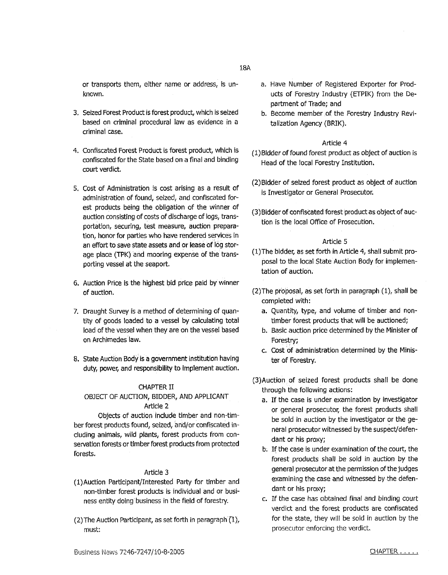or transports them, either name or address, is unknown.

- 3. Seized Forest Product is forest product, which is seized based on criminal procedural law as evidence in a criminal case.
- 4. Confiscated Forest Product is forest product, which is confiscated for the State based on a final and binding court verdict.
- 5. Cost of Administration is cost arising as a result of administration of found, seized, and confiscated forest products being the obligation of the winner of auction consisting of costs of discharge of logs, transportation, securing, test measure, auction preparation, honor for parties who have rendered services in an effort to save state assets and or lease of log storage place (TPK) and mooring expense of the transporting vessel at the seaport.
- 6. Auction Price is the highest bid price paid by winner of auction.
- 7. Draught Survey is a method of determining of quantity of goods loaded to a vessel by calculating total load of the vessel when they are on the vessel based on Archimedes law.
- 8. State Auction Body is a government institution having duty, power, and responsibility to implement auction.

## CHAPTER II

# OBJECT OF AUCTION, BIDDER, AND APPLICANT Article 2

Objects of auction include timber and non-timber forest products found, seized, and/or confiscated including animals, wild plants, forest products from conservation forests or timber forest products from protected forests.

## Article 3

- (1)Auction Participant/Interested Party for timber and non-timber forest products is individual and or business entity doing business in the field of forestry.
- (2) The Auction Participant, as set forth in paragraph  $(1)$ , must:
- a. Have Number of Registered Exporter for Products of Forestry Industry (ETPIK) from the Department of Trade; and
- b. Become member of the Forestry Industry Revitalization Agency (BRIK).

#### Article 4

- (!)Bidder of found forest product as object of auction is Head of the local Forestry Institution.
- (2)Bidder of seized forest product as object of auction is Investigator or General Prosecutor.
- (3) Bidder of confiscated forest product as object of auction is the local Office of Prosecution.

### Article 5

- (l)The bidder, as set forth in Article 4, shall submit proposal to the local State Auction Body for implementation of auction.
- (2)The proposal, as set forth in paragraph (1), shall be completed with:
	- a. Quantity, type, and volume of timber and nontimber forest products that will be auctioned;
	- b. Basic auction price determined by the Minister of Forestry;
	- c. cost of administration determined by the Minister of Forestry.
- (3)Auction of seized forest products shall be done through the following actions:
	- a. If the case is under examination by investigator or general prosecutor, the forest products shall be sold in auction by the investigator or the general prosecutor witnessed by the suspect/defendant or his proxy;
	- b. If the case is under examination of the court, the forest products shall be sold in auction by the general prosecutor at the permission of the judges examining the case and witnessed by the defendant or his proxy;
	- c. If the case has obtained final and binding court verdict and the forest products are confiscated for the state, they will be sold in auction by the prosecutor enforcing the verdict.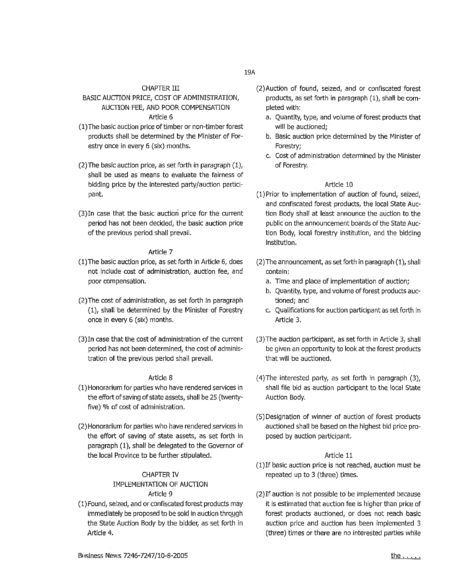## CHAPTER III

# BASIC AUCTION PRICE, COST OF ADMINISTRATION, AUCTION FEE, AND POOR COMPENSATION Article 6

- (l)The basic auction price of timber or non-timber forest products shall be determined by the Minister of Forestry once in every 6 (six) months.
- (2)The basic auction price, as set forth in paragraph (1), shall be used as means to evaluate the fairness of bidding price by the interested party/auction participant.
- (3)In case that the basic auction price for the current period has not been decided, the basic auction price of the previous period shall prevail.

#### Article 7

- (1)The basic auction price, as set forth in Article 6, does not include cost of administration, auction fee, and poor compensation.
- (2)The cost of administration, as set forth in paragraph (1), shall be determined by the Minister of Forestry once in every 6 (six) months.
- (3)In case that the cost of administration of the current period has not been determined, the cost of administration of the previous period shall prevail.

#### Article 8

- (1) Honorarium for parties who have rendered services in the effort of saving of state assets, shall be 25 (twentyfive) % of cost of administration.
- (2) Honorarium for parties who have rendered services in the effort of saving of state assets, as set forth in paragraph (1), shall be delegated to the Governor of the local Province to be further stipulated.

# CHAPTER IV

### IMPLEMENTATION OF AUCTION Article 9

(1)Found, seized, and or confiscated forest products may immediately be proposed to be sold in auction through the State Auction Body by the bidder, as set forth in Article 4.

- (2)Auction of found, seized, and or confiscated forest products, as set forth in paragraph (1), shall be completed with:
	- a. Quantity, type, and volume of forest products that will be auctioned;
	- b. Basic auction price determined by the Minister of Forestry;
	- c. Cost of administration determined by the Minister of Forestry.

### Article 10

- (1) Prior to implementation of auction of found, seized, and confiscated forest products, the local State Auction Body shall at least announce the auction to the public on the announcement boards of the State Auction Body, local forestry institution, and the bidding institution.
- (2)The announcement, as set forth in paragraph (1), shall contain:
	- a. Time and place of implementation of auction;
	- b. Quantity, type, and volume of forest products auctioned; and
	- c. Qualifications for auction participant as set forth in Article 3.
- (3)The auction participant, as set forth in Article 3, shall be given an opportunity to look at the forest products that will be auctioned.
- (4)The interested party, as set forth in paragraph (3), shall file bid as auction participant to the local State Auction Body.
- (5) Designation of winner of auction of forest products auctioned shall be based on the highest bid price proposed by auction participant.

#### Article 11

- (l)If basic auction price is not reached, auction must be repeated up to 3 (three) times.
- (2)If auction is not possible to be implemented because it is estimated that auction fee is higher than price of forest products auctioned, or does not reach basic auction price and auction has been implemented 3 (three) times or there are no interested parties while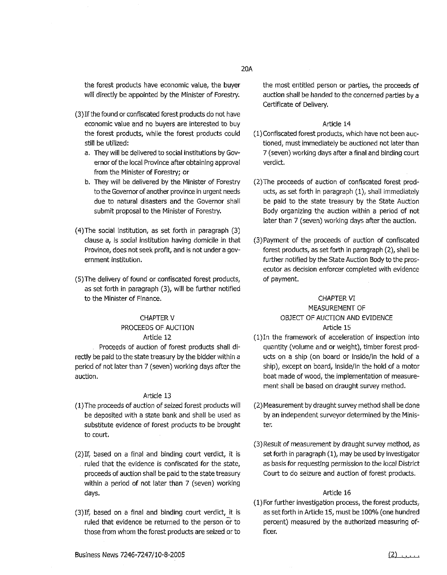the forest products have economic value, the buyer will directly be appointed by the Minister of Forestry.

- (3)If the found or confiscated forest products do not have economic value and no buyers are interested to buy the forest products, while the forest products could still be utilized:
	- a. They will be delivered to social institutions by Governor of the local Province after obtaining approval from the Minister of Forestry; or
	- b. They will be delivered by the Minister of Forestry to the Governor of another province in urgent needs due to natural disasters and the Governor shall submit proposal to the Minister of Forestry.
- $(4)$  The social institution, as set forth in paragraph  $(3)$ clause a, is social institution having domicile in that Province, does not seek profit, and is not under a government institution.
- (5) The delivery of found or confiscated forest products, as set forth in paragraph (3), will be further notified to the Minister of Finance.

## CHAPTER V PROCEEDS OF AUCTION Article 12

Proceeds of auction of forest products shall directly be paid to the state treasury by the bidder within a period of not later than 7 (seven) working days after the auction.

#### Article 13

- ( 1) The proceeds of auction of seized forest products will be deposited with a state bank and shall be used as substitute evidence of forest products to be brought to court.
- (2)If, based on a final and binding court verdict, it is ruled that the evidence is confiscated for the state, proceeds of auction shall be paid to the state treasury within a period of not later than 7 (seven) working days.
- (3)If, based on a final and binding court verdict, it is ruled that evidence be returned to the person. or to those from whom the forest products are seized or to

the most entitled person or parties, the proceeds of auction shall be handed to the concerned parties by a Certificate of Delivery.

#### Article 14

- (l)Confiscated forest products, which have not been auctioned, must immediately be auctioned not later than 7 (seven) working days after a final and binding court verdict.
- (2)The proceeds of auction of confiscated forest products, as set forth in paragraph (1), shall immediately be paid to the state treasury by the State Auction Body organizing the auction within a period of not later than 7 (seven) working days after the auction.
- (3)Payment of the proceeds of auction of confiscated forest products, as set forth in paragraph (2), shall be further notified by the State Auction Body to the prosecutor as decision enforcer completed with evidence of payment.

## CHAPTER *VI*

# MEASUREMENT OF OBJECT OF AUCTION AND EVIDENCE

#### Article 15

- (l)In the framework of acceleration of inspection into quantity (volume and or weight), timber forest products on a ship (on board or inside/in the hold of a ship), except on board, inside/in the hold of a motor boat made of wood, the implementation of measurement shall be based on draught survey method.
- (2) Measurement by draught survey method shall be done by an independent surveyor determined by the Minister.
- (3)Result of measurement by draught survey method, as set forth in paragraph (1), may be used by investigator as basis for requesting permission to the local District Court to do seizure and auction of forest products.

#### Article 16

(1) For further investigation process, the forest products, as set forth in Article 15, must be 100% ( one hundred percent) measured by the authorized measuring officer.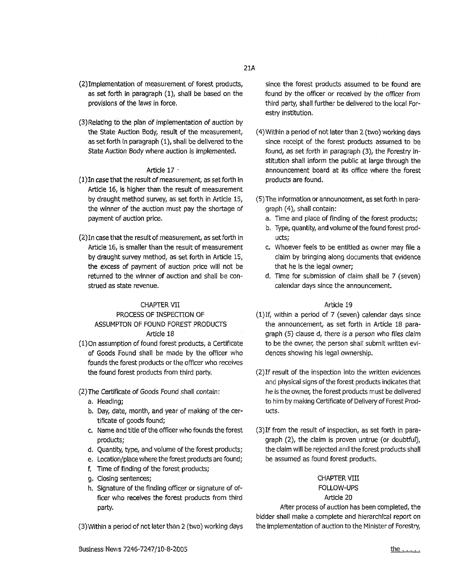- (2) Implementation of measurement of forest products, as set forth in paragraph (1), shall be based on the provisions of the laws in force.
- (3)Relating to the plan of implementation of auction by the State Auction Body, result of the measurement, as set forth in paragraph (1), shall be delivered to the State Auction Body where auction ls implemented.

#### Article 17 ·

- ( 1) In case that the result of measurement, as set forth in Article 16, is higher than the result of measurement by draught method survey, as set forth in Article 15, the winner of the auction must pay the shortage of payment of auction price.
- (2)In case that the result of measurement, as set forth in Article 16, is smaller than the result of measurement by draught survey method, as set forth in Article 15, the excess of payment of auction price will not be returned to the winner of auction and shall be construed as state revenue.

# CHAPTER VII PROCESS OF INSPECTION OF ASSUMPTON OF FOUND FOREST PRODUCTS Article 18

- (!)On assumption of found forest products, a Certificate of Goods Found shall be made by the officer who founds the forest products or the officer who receives the found forest products from third party.
- (2)The Certificate of Goods Found shall contain:
	- a. Heading;
	- b. Day, date, month, and year of making of the certificate of goods found;
	- c. Name and title of the officer who founds the forest products;
	- d. Quantity, type, and volume of the forest products;
	- e. Location/place where the forest products are found;
	- f. Time of finding of the forest products;
	- g, Closing sentences;
	- h. Signature of the finding officer or signature of officer who receives the forest products from third party.

{3)Within a period of not later than 2 (two) working days

since the forest products assumed to be found are found by the officer or received by the officer from third party, shall further be delivered to the local Forestry institution.

- ( 4) Within a period of not later than 2 (two) working days since receipt of the forest products assumed to be found, *as* set forth in paragraph (3), the Forestry *in*stitution shall inform the public at large through the announcement board at its office where the forest products are found.
- (S)The information or announcement, as set forth in paragraph (4), shall contain:
	- a. Time and place of finding of the forest products;
	- b. Type, quantity, and volume of the found forest products;
	- c. Whoever feels to be entitled as owner may file a claim by bringing along documents that evidence that he is the legal owner;
	- d. Time for submission of claim shall be 7 (seven) calendar days since the announcement.

#### Article 19

- $(1)$  If, within a period of 7 (seven) calendar days since the announcement, as set forth in Article 18 paragraph (5) clause d, there is a person who files claim to be the owner, the person shall submit written evidences showing his legal ownership.
- (2)If result of the inspection into the written evidences and physical signs of the forest products indicates that he is the owner, the forest products must be delivered to him by making Certificate of Delivery of Forest Products.
- (3)If from the result of inspection, as set forth in paragraph (2), the claim is proven untrue (or doubtful), the claim will be rejected and the forest products shall be assumed as found forest products.

## CHAPTER VIII FOLLOW-UPS Article 20

After process of auction has been completed, the bidder shall make a complete and hierarchical report on the implementation of auction to the Minister of Forestry,